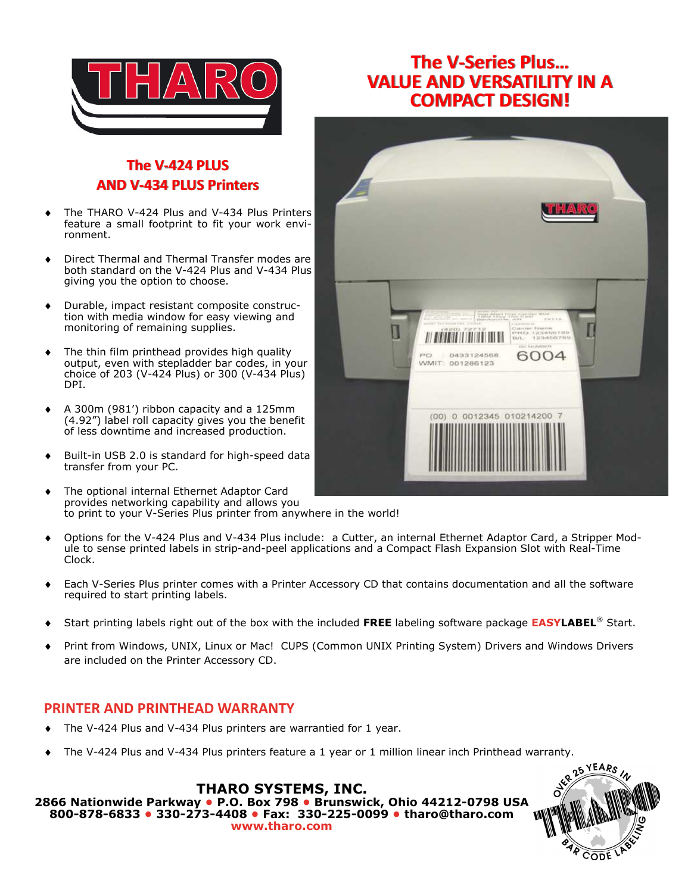

## **The V-Series Plus… VALUE AND VERSATILITY IN A COMPACT DESIGN!**

## **The V-424 PLUS AND V-434 PLUS Printers**

- The THARO V-424 Plus and V-434 Plus Printers feature a small footprint to fit your work environment.
- Direct Thermal and Thermal Transfer modes are both standard on the V-424 Plus and V-434 Plus giving you the option to choose.
- Durable, impact resistant composite construction with media window for easy viewing and monitoring of remaining supplies.
- The thin film printhead provides high quality output, even with stepladder bar codes, in your choice of 203 (V-424 Plus) or 300 (V-434 Plus) DPI.
- A 300m (981') ribbon capacity and a 125mm (4.92") label roll capacity gives you the benefit of less downtime and increased production.
- Built-in USB 2.0 is standard for high-speed data transfer from your PC.
- The optional internal Ethernet Adaptor Card provides networking capability and allows you to print to your V-Series Plus printer from anywhere in the world!
- Options for the V-424 Plus and V-434 Plus include: a Cutter, an internal Ethernet Adaptor Card, a Stripper Module to sense printed labels in strip-and-peel applications and a Compact Flash Expansion Slot with Real-Time Clock.
- Each V-Series Plus printer comes with a Printer Accessory CD that contains documentation and all the software required to start printing labels.
- ♦ Start printing labels right out of the box with the included **FREE** labeling software package **EASYLABEL**® Start.
- Print from Windows, UNIX, Linux or Mac! CUPS (Common UNIX Printing System) Drivers and Windows Drivers are included on the Printer Accessory CD.

## **PRINTER AND PRINTHEAD WARRANTY**

- The V-424 Plus and V-434 Plus printers are warrantied for 1 year.
- The V-424 Plus and V-434 Plus printers feature a 1 year or 1 million linear inch Printhead warranty.

**THARO SYSTEMS, INC. 2866 Nationwide Parkway • P.O. Box 798 • Brunswick, Ohio 44212-0798 USA 800-878-6833 • 330-273-4408 • Fax: 330-225-0099 • tharo@tharo.com www.tharo.com**